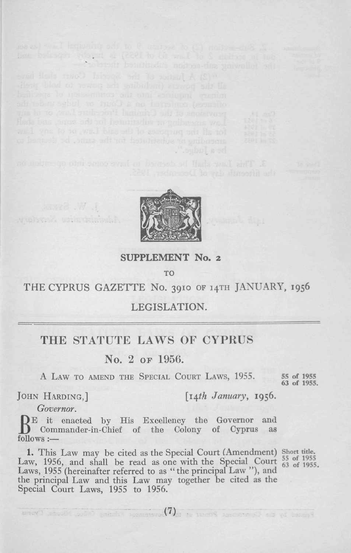

. Subul a sd

 $\frac{1}{100}$  and section (2) of section 9 of the putchfull repeated and<br>out in section 2 of Liew 61 of 1955) is highly repeated and

#### **SUPPLEMENT No. 2**

το

## THE CYPRUS GAZETTE No. 3910 OF 14TH JANUARY, 1956

### LEGISLATION.

# THE STATUTE LAWS OF CYPRUS

### No. 2 or 1956.

A LAW TO AMEND THE SPECIAL COURT LAWS, 1955.

63 of 1955.

JOHN HARDING,] *[i^th January,* **1956.**

*Governor.*

**Company Room** wubund wils tainuble

B<sup>E</sup> it enacted by His Excellency the Governor and<br>Commander-in-Chief of the Colony of Cyprus as E it enacted by His Excellency the Governor and follows :—

1. This Law may be cited as the Special Court (Amendment) Short title. Law, 1956, and shall be read as one with the Special Court  $\frac{55}{63}$  of 1955 Laws, 1955 (hereinafter referred to as "the principal Law "), and the principal Law and this Law may together be cited as the Special Court Laws, 1955 to 1956.

ancy) who M with a species (7) a time S means of a with the con-